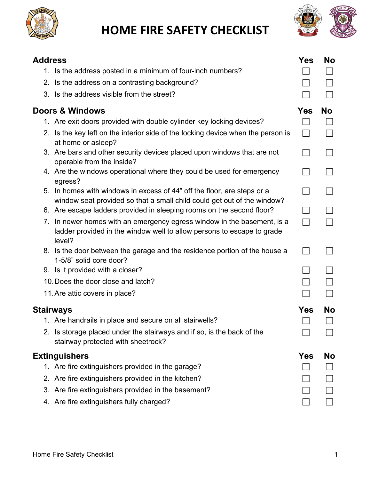

**HOME FIRE SAFETY CHECKLIST**



| <b>Address</b> |                                                                                                                                                             | Yes        | <b>No</b> |
|----------------|-------------------------------------------------------------------------------------------------------------------------------------------------------------|------------|-----------|
|                | 1. Is the address posted in a minimum of four-inch numbers?                                                                                                 |            |           |
|                | 2. Is the address on a contrasting background?                                                                                                              |            |           |
|                | 3. Is the address visible from the street?                                                                                                                  |            |           |
|                | <b>Doors &amp; Windows</b>                                                                                                                                  | <b>Yes</b> | <b>No</b> |
|                | 1. Are exit doors provided with double cylinder key locking devices?                                                                                        |            |           |
|                | 2. Is the key left on the interior side of the locking device when the person is<br>at home or asleep?                                                      |            |           |
|                | 3. Are bars and other security devices placed upon windows that are not<br>operable from the inside?                                                        |            |           |
|                | 4. Are the windows operational where they could be used for emergency<br>egress?                                                                            |            |           |
|                | 5. In homes with windows in excess of 44" off the floor, are steps or a<br>window seat provided so that a small child could get out of the window?          |            |           |
|                | 6. Are escape ladders provided in sleeping rooms on the second floor?                                                                                       |            |           |
|                | 7. In newer homes with an emergency egress window in the basement, is a<br>ladder provided in the window well to allow persons to escape to grade<br>level? |            |           |
|                | 8. Is the door between the garage and the residence portion of the house a<br>1-5/8" solid core door?                                                       |            |           |
|                | 9. Is it provided with a closer?                                                                                                                            |            |           |
|                | 10. Does the door close and latch?                                                                                                                          |            |           |
|                | 11. Are attic covers in place?                                                                                                                              |            |           |
|                | <b>Stairways</b>                                                                                                                                            | <b>Yes</b> | No        |
|                | 1. Are handrails in place and secure on all stairwells?                                                                                                     |            |           |
|                | 2. Is storage placed under the stairways and if so, is the back of the<br>stairway protected with sheetrock?                                                |            |           |
|                | <b>Extinguishers</b>                                                                                                                                        | Yes        | No        |
|                | 1. Are fire extinguishers provided in the garage?                                                                                                           |            |           |
|                | 2. Are fire extinguishers provided in the kitchen?                                                                                                          |            |           |
|                | 3. Are fire extinguishers provided in the basement?                                                                                                         |            |           |
|                | 4. Are fire extinguishers fully charged?                                                                                                                    |            |           |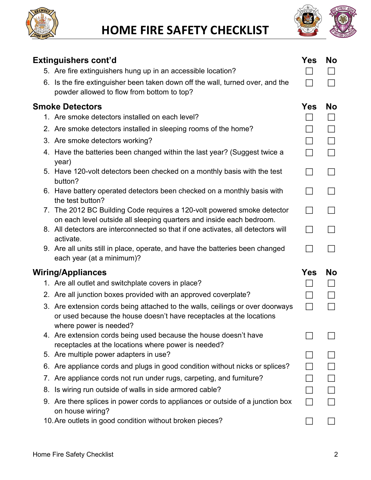



| <b>Extinguishers cont'd</b>                                                                                                                                                    | Yes               | <b>No</b> |
|--------------------------------------------------------------------------------------------------------------------------------------------------------------------------------|-------------------|-----------|
| 5. Are fire extinguishers hung up in an accessible location?                                                                                                                   |                   |           |
| 6. Is the fire extinguisher been taken down off the wall, turned over, and the<br>powder allowed to flow from bottom to top?                                                   |                   |           |
| <b>Smoke Detectors</b>                                                                                                                                                         | <b>Yes</b>        | <b>No</b> |
| 1. Are smoke detectors installed on each level?                                                                                                                                |                   |           |
| 2. Are smoke detectors installed in sleeping rooms of the home?                                                                                                                |                   |           |
| 3. Are smoke detectors working?                                                                                                                                                |                   |           |
| 4. Have the batteries been changed within the last year? (Suggest twice a<br>year)                                                                                             | $\Box$            |           |
| 5. Have 120-volt detectors been checked on a monthly basis with the test<br>button?                                                                                            |                   |           |
| 6. Have battery operated detectors been checked on a monthly basis with<br>the test button?                                                                                    | $\vert \ \ \vert$ |           |
| 7. The 2012 BC Building Code requires a 120-volt powered smoke detector<br>on each level outside all sleeping quarters and inside each bedroom.                                |                   |           |
| 8. All detectors are interconnected so that if one activates, all detectors will<br>activate.                                                                                  |                   |           |
| 9. Are all units still in place, operate, and have the batteries been changed<br>each year (at a minimum)?                                                                     |                   |           |
| <b>Wiring/Appliances</b>                                                                                                                                                       | <b>Yes</b>        | <b>No</b> |
| 1. Are all outlet and switchplate covers in place?                                                                                                                             |                   |           |
| 2. Are all junction boxes provided with an approved coverplate?                                                                                                                |                   |           |
| 3. Are extension cords being attached to the walls, ceilings or over doorways<br>or used because the house doesn't have receptacles at the locations<br>where power is needed? |                   |           |
| 4. Are extension cords being used because the house doesn't have<br>receptacles at the locations where power is needed?                                                        |                   |           |
| 5. Are multiple power adapters in use?                                                                                                                                         |                   |           |
| 6. Are appliance cords and plugs in good condition without nicks or splices?                                                                                                   |                   |           |
| 7. Are appliance cords not run under rugs, carpeting, and furniture?                                                                                                           |                   |           |
| 8. Is wiring run outside of walls in side armored cable?                                                                                                                       |                   |           |
| 9. Are there splices in power cords to appliances or outside of a junction box<br>on house wiring?                                                                             |                   |           |
| 10. Are outlets in good condition without broken pieces?                                                                                                                       |                   |           |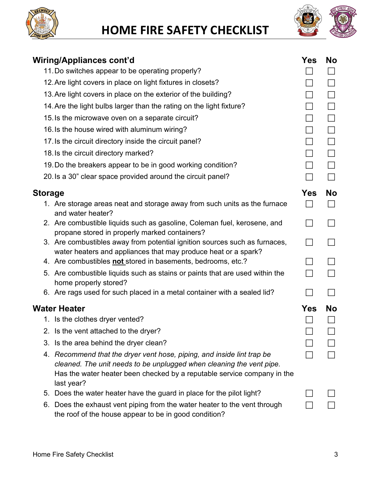

## **HOME FIRE SAFETY CHECKLIST**



|         | Wiring/Appliances cont'd                                                                                                                                                                                                                | Yes               | <b>No</b> |
|---------|-----------------------------------------------------------------------------------------------------------------------------------------------------------------------------------------------------------------------------------------|-------------------|-----------|
|         | 11. Do switches appear to be operating properly?                                                                                                                                                                                        |                   |           |
|         | 12. Are light covers in place on light fixtures in closets?                                                                                                                                                                             |                   |           |
|         | 13. Are light covers in place on the exterior of the building?                                                                                                                                                                          |                   |           |
|         | 14. Are the light bulbs larger than the rating on the light fixture?                                                                                                                                                                    |                   |           |
|         | 15. Is the microwave oven on a separate circuit?                                                                                                                                                                                        |                   |           |
|         | 16. Is the house wired with aluminum wiring?                                                                                                                                                                                            |                   |           |
|         | 17. Is the circuit directory inside the circuit panel?                                                                                                                                                                                  | $\Box$            |           |
|         | 18. Is the circuit directory marked?                                                                                                                                                                                                    |                   |           |
|         | 19. Do the breakers appear to be in good working condition?                                                                                                                                                                             |                   |           |
|         | 20. Is a 30" clear space provided around the circuit panel?                                                                                                                                                                             |                   |           |
| Storage |                                                                                                                                                                                                                                         | <b>Yes</b>        | <b>No</b> |
|         | 1. Are storage areas neat and storage away from such units as the furnace<br>and water heater?                                                                                                                                          |                   |           |
|         | 2. Are combustible liquids such as gasoline, Coleman fuel, kerosene, and<br>propane stored in properly marked containers?                                                                                                               |                   |           |
|         | 3. Are combustibles away from potential ignition sources such as furnaces,<br>water heaters and appliances that may produce heat or a spark?                                                                                            | $\vert \ \ \vert$ |           |
|         | 4. Are combustibles not stored in basements, bedrooms, etc.?                                                                                                                                                                            |                   |           |
|         | 5. Are combustible liquids such as stains or paints that are used within the<br>home properly stored?                                                                                                                                   |                   |           |
|         | 6. Are rags used for such placed in a metal container with a sealed lid?                                                                                                                                                                |                   |           |
|         | <b>Water Heater</b>                                                                                                                                                                                                                     | Yes               | <b>No</b> |
|         | 1. Is the clothes dryer vented?                                                                                                                                                                                                         |                   |           |
|         | 2. Is the vent attached to the dryer?                                                                                                                                                                                                   |                   |           |
|         | 3. Is the area behind the dryer clean?                                                                                                                                                                                                  |                   |           |
|         | 4. Recommend that the dryer vent hose, piping, and inside lint trap be<br>cleaned. The unit needs to be unplugged when cleaning the vent pipe.<br>Has the water heater been checked by a reputable service company in the<br>last year? |                   |           |
|         | 5. Does the water heater have the guard in place for the pilot light?                                                                                                                                                                   |                   |           |
| 6.      | Does the exhaust vent piping from the water heater to the vent through<br>the roof of the house appear to be in good condition?                                                                                                         |                   |           |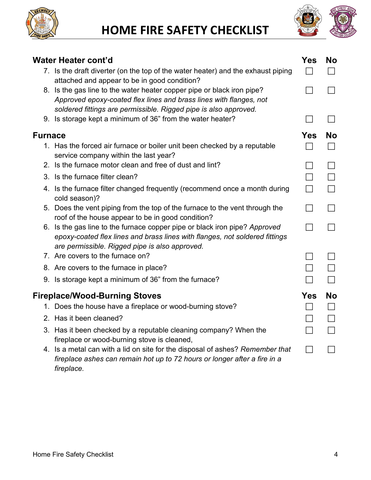



|                | Water Heater cont'd                                                                                                                                                                                              | <b>Yes</b> | <b>No</b> |
|----------------|------------------------------------------------------------------------------------------------------------------------------------------------------------------------------------------------------------------|------------|-----------|
|                | 7. Is the draft diverter (on the top of the water heater) and the exhaust piping<br>attached and appear to be in good condition?                                                                                 |            |           |
|                | 8. Is the gas line to the water heater copper pipe or black iron pipe?<br>Approved epoxy-coated flex lines and brass lines with flanges, not<br>soldered fittings are permissible. Rigged pipe is also approved. |            |           |
|                | 9. Is storage kept a minimum of 36" from the water heater?                                                                                                                                                       |            |           |
| <b>Furnace</b> |                                                                                                                                                                                                                  | <b>Yes</b> | <b>No</b> |
|                | 1. Has the forced air furnace or boiler unit been checked by a reputable<br>service company within the last year?                                                                                                |            |           |
|                | 2. Is the furnace motor clean and free of dust and lint?                                                                                                                                                         |            |           |
|                | 3. Is the furnace filter clean?                                                                                                                                                                                  |            |           |
|                | 4. Is the furnace filter changed frequently (recommend once a month during<br>cold season)?                                                                                                                      |            |           |
|                | 5. Does the vent piping from the top of the furnace to the vent through the<br>roof of the house appear to be in good condition?                                                                                 |            |           |
|                | 6. Is the gas line to the furnace copper pipe or black iron pipe? Approved<br>epoxy-coated flex lines and brass lines with flanges, not soldered fittings<br>are permissible. Rigged pipe is also approved.      |            |           |
|                | 7. Are covers to the furnace on?                                                                                                                                                                                 |            |           |
|                | 8. Are covers to the furnace in place?                                                                                                                                                                           |            |           |
|                | 9. Is storage kept a minimum of 36" from the furnace?                                                                                                                                                            |            |           |
|                | Fireplace/Wood-Burning Stoves                                                                                                                                                                                    | <b>Yes</b> | <b>No</b> |
|                | 1. Does the house have a fireplace or wood-burning stove?                                                                                                                                                        |            |           |
|                | 2. Has it been cleaned?                                                                                                                                                                                          |            |           |
|                | 3. Has it been checked by a reputable cleaning company? When the<br>fireplace or wood-burning stove is cleaned,                                                                                                  |            |           |
|                | 4. Is a metal can with a lid on site for the disposal of ashes? Remember that<br>fireplace ashes can remain hot up to 72 hours or longer after a fire in a<br>fireplace.                                         |            |           |